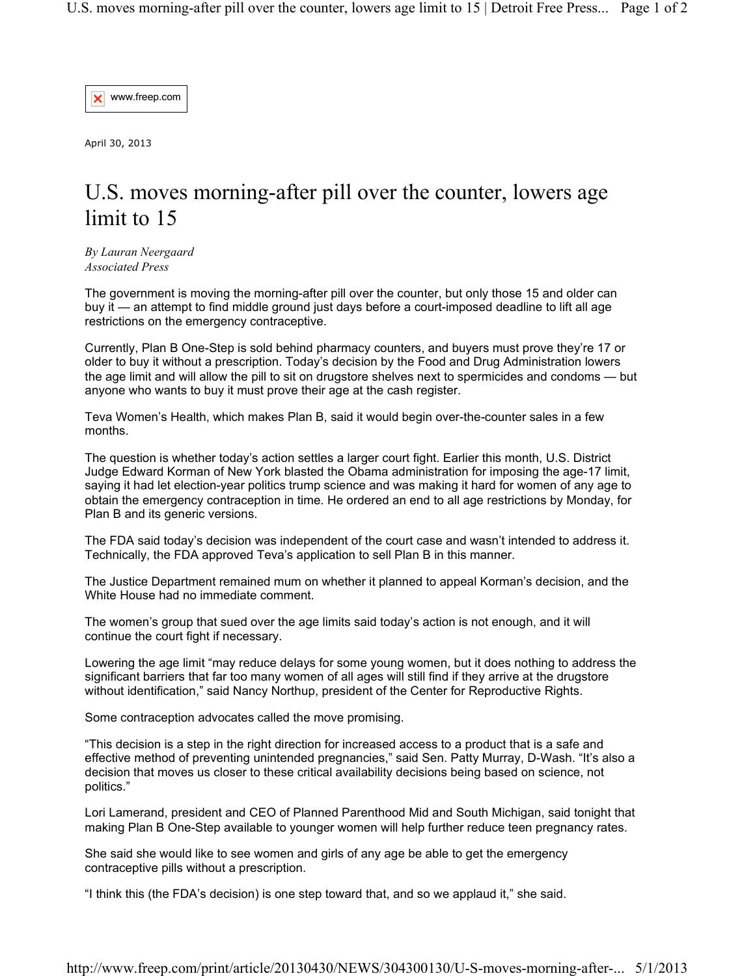www.freep.com ×

April 30, 2013

## U.S. moves morning-after pill over the counter, lowers age limit to 15

*By Lauran Neergaard Associated Press*

The government is moving the morning-after pill over the counter, but only those 15 and older can buy it — an attempt to find middle ground just days before a court-imposed deadline to lift all age restrictions on the emergency contraceptive.

Currently, Plan B One-Step is sold behind pharmacy counters, and buyers must prove they're 17 or older to buy it without a prescription. Today's decision by the Food and Drug Administration lowers the age limit and will allow the pill to sit on drugstore shelves next to spermicides and condoms — but anyone who wants to buy it must prove their age at the cash register.

Teva Women's Health, which makes Plan B, said it would begin over-the-counter sales in a few months.

The question is whether today's action settles a larger court fight. Earlier this month, U.S. District Judge Edward Korman of New York blasted the Obama administration for imposing the age-17 limit, saying it had let election-year politics trump science and was making it hard for women of any age to obtain the emergency contraception in time. He ordered an end to all age restrictions by Monday, for Plan B and its generic versions.

The FDA said today's decision was independent of the court case and wasn't intended to address it. Technically, the FDA approved Teva's application to sell Plan B in this manner.

The Justice Department remained mum on whether it planned to appeal Korman's decision, and the White House had no immediate comment.

The women's group that sued over the age limits said today's action is not enough, and it will continue the court fight if necessary.

Lowering the age limit "may reduce delays for some young women, but it does nothing to address the significant barriers that far too many women of all ages will still find if they arrive at the drugstore without identification," said Nancy Northup, president of the Center for Reproductive Rights.

Some contraception advocates called the move promising.

"This decision is a step in the right direction for increased access to a product that is a safe and effective method of preventing unintended pregnancies," said Sen. Patty Murray, D-Wash. "It's also a decision that moves us closer to these critical availability decisions being based on science, not politics."

Lori Lamerand, president and CEO of Planned Parenthood Mid and South Michigan, said tonight that making Plan B One-Step available to younger women will help further reduce teen pregnancy rates.

She said she would like to see women and girls of any age be able to get the emergency contraceptive pills without a prescription.

"I think this (the FDA's decision) is one step toward that, and so we applaud it," she said.